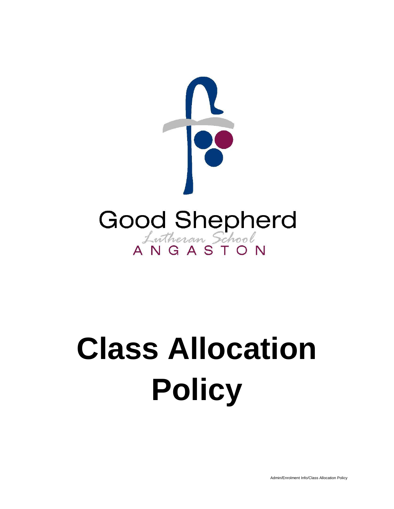

# **Class Allocation Policy**

Admin/Enrolment Info/Class Allocation Policy